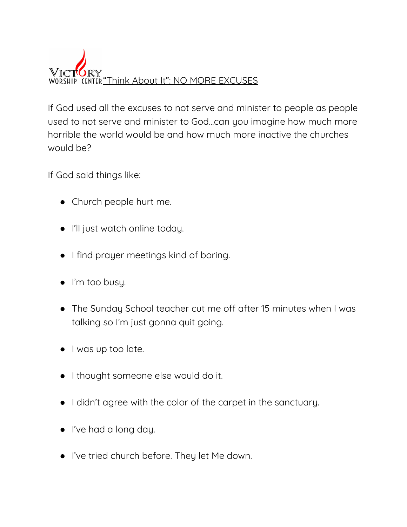

If God used all the excuses to not serve and minister to people as people used to not serve and minister to God...can you imagine how much more horrible the world would be and how much more inactive the churches would be?

If God said things like:

- Church people hurt me.
- I'll just watch online today.
- I find prayer meetings kind of boring.
- I'm too busy.
- The Sunday School teacher cut me off after 15 minutes when I was talking so I'm just gonna quit going.
- I was up too late.
- I thought someone else would do it.
- I didn't agree with the color of the carpet in the sanctuary.
- I've had a long day.
- I've tried church before. They let Me down.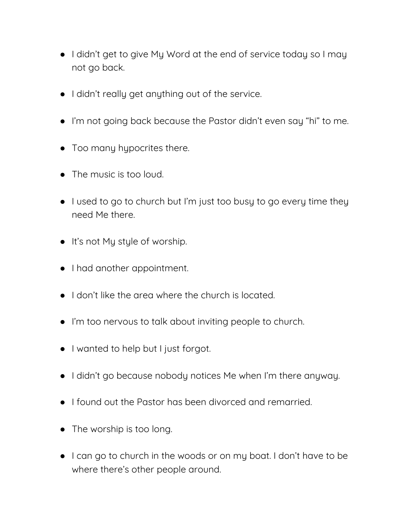- I didn't get to give My Word at the end of service today so I may not go back.
- I didn't really get anything out of the service.
- I'm not going back because the Pastor didn't even say "hi" to me.
- Too many hypocrites there.
- The music is too loud.
- I used to go to church but I'm just too busy to go every time they need Me there.
- It's not My style of worship.
- I had another appointment.
- I don't like the area where the church is located.
- I'm too nervous to talk about inviting people to church.
- I wanted to help but I just forgot.
- I didn't go because nobody notices Me when I'm there anyway.
- I found out the Pastor has been divorced and remarried.
- The worship is too long.
- I can go to church in the woods or on my boat. I don't have to be where there's other people around.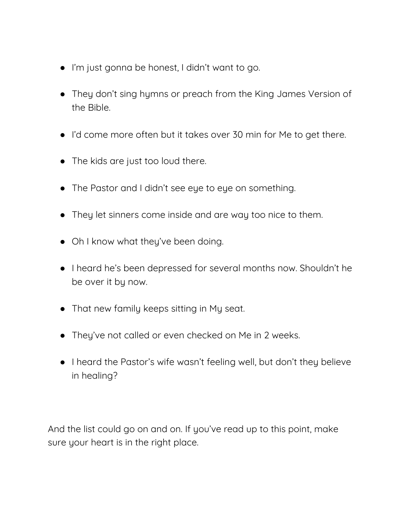- I'm just gonna be honest, I didn't want to go.
- They don't sing hymns or preach from the King James Version of the Bible.
- I'd come more often but it takes over 30 min for Me to get there.
- The kids are just too loud there.
- The Pastor and I didn't see eye to eye on something.
- They let sinners come inside and are way too nice to them.
- Oh I know what they've been doing.
- I heard he's been depressed for several months now. Shouldn't he be over it by now.
- That new family keeps sitting in My seat.
- They've not called or even checked on Me in 2 weeks.
- I heard the Pastor's wife wasn't feeling well, but don't they believe in healing?

And the list could go on and on. If you've read up to this point, make sure your heart is in the right place.